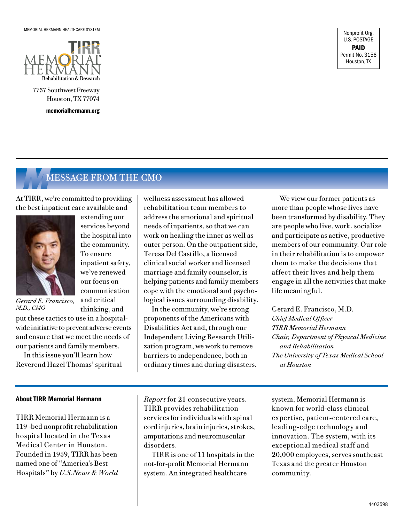

7737 Southwest Freeway Houston, TX 77074

memorialhermann.org

Nonprofit Org. U.S. POSTAGE PAID Permit No. 3156 Houston, TX

## *M*MESSAGE FROM THE CMO

extending our services beyond the hospital into the community. To ensure

inpatient safety, we've renewed our focus on communication and critical thinking, and

At TIRR, we're committed to providing the best inpatient care available and



*Gerard E. Francisco, M.D., CMO*

put these tactics to use in a hospitalwide initiative to prevent adverse events and ensure that we meet the needs of our patients and family members.

In this issue you'll learn how Reverend Hazel Thomas' spiritual

#### About TIRR Memorial Hermann

TIRR Memorial Hermann is a 119 -bed nonprofit rehabilitation hospital located in the Texas Medical Center in Houston. Founded in 1959, TIRR has been named one of "America's Best Hospitals" by *U.S.News & World*  wellness assessment has allowed rehabilitation team members to address the emotional and spiritual needs of inpatients, so that we can work on healing the inner as well as outer person. On the outpatient side, Teresa Del Castillo, a licensed clinical social worker and licensed marriage and family counselor, is helping patients and family members cope with the emotional and psychological issues surrounding disability.

In the community, we're strong proponents of the Americans with Disabilities Act and, through our Independent Living Research Utilization program, we work to remove barriers to independence, both in ordinary times and during disasters. been transformed by disability. They are people who live, work, socialize and participate as active, productive members of our community. Our role in their rehabilitation is to empower them to make the decisions that affect their lives and help them engage in all the activities that make life meaningful.

We view our former patients as more than people whose lives have

Gerard E. Francisco, M.D. *Chief Medical Officer TIRR Memorial Hermann Chair, Department of Physical Medicine and Rehabilitation The University of Texas Medical School at Houston*

*Report* for 21 consecutive years. TIRR provides rehabilitation services for individuals with spinal cord injuries, brain injuries, strokes, amputations and neuromuscular disorders.

TIRR is one of 11 hospitals in the not-for-profit Memorial Hermann system. An integrated healthcare

system, Memorial Hermann is known for world-class clinical expertise, patient-centered care, leading-edge technology and innovation. The system, with its exceptional medical staff and 20,000 employees, serves southeast Texas and the greater Houston community.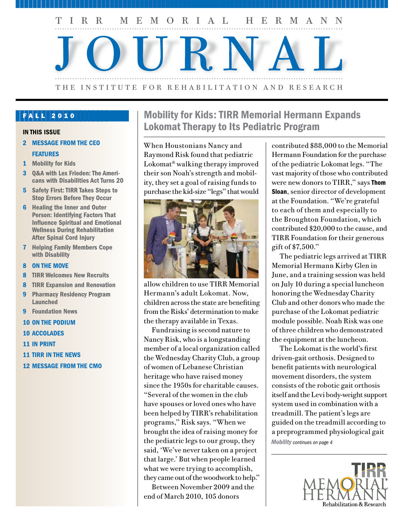

### FALL 2010

- 2 MESSAGE FROM THE CEO FEATURES
- 1 Mobility for Kids
- 3 Q&A with Lex Frieden: The Americans with Disabilities Act Turns 20
- 5 Safety First: TIRR Takes Steps to Stop Errors Before They Occur
- 6 Healing the Inner and Outer Person: Identifying Factors That Influence Spiritual and Emotional Wellness During Rehabilitation After Spinal Cord Injury
- 7 Helping Family Members Cope with Disability
- 8 ON THE MOVE
- 8 TIRR Welcomes New Recruits
- 8 TIRR Expansion and Renovation
- 9 Pharmacy Residency Program Launched
- 9 Foundation News
- 10 ON THE PODIUM
- 10 ACCOLADES
- 11 IN PRINT
- 11 TIRR IN THE NEWS
- 12 MESSAGE FROM THE CMO

## Mobility for Kids: TIRR Memorial Hermann Expands IN THIS ISSUE **IN THIS ISSUE** IN THIS ISSUE

When Houstonians Nancy and Raymond Risk found that pediatric Lokomat® walking therapy improved their son Noah's strength and mobility, they set a goal of raising funds to purchase the kid-size "legs" that would



allow children to use TIRR Memorial Hermann's adult Lokomat. Now, children across the state are benefiting from the Risks' determination to make the therapy available in Texas.

Fundraising is second nature to Nancy Risk, who is a longstanding member of a local organization called the Wednesday Charity Club, a group of women of Lebanese Christian heritage who have raised money since the 1950s for charitable causes. "Several of the women in the club have spouses or loved ones who have been helped by TIRR's rehabilitation programs," Risk says. "When we brought the idea of raising money for the pediatric legs to our group, they said, 'We've never taken on a project that large.' But when people learned what we were trying to accomplish, they came out of the woodwork to help."

Between November 2009 and the end of March 2010, 105 donors

contributed \$88,000 to the Memorial Hermann Foundation for the purchase of the pediatric Lokomat legs. "The vast majority of those who contributed were new donors to TIRR," says Thom Sloan, senior director of development at the Foundation. "We're grateful to each of them and especially to the Broughton Foundation, which contributed \$20,000 to the cause, and TIRR Foundation for their generous gift of \$7,500."

The pediatric legs arrived at TIRR Memorial Hermann Kirby Glen in June, and a training session was held on July 10 during a special luncheon honoring the Wednesday Charity Club and other donors who made the purchase of the Lokomat pediatric module possible. Noah Risk was one of three children who demonstrated the equipment at the luncheon.

The Lokomat is the world's first driven-gait orthosis. Designed to benefit patients with neurological movement disorders, the system consists of the robotic gait orthosis itself and the Levi body-weight support system used in combination with a treadmill. The patient's legs are guided on the treadmill according to a preprogrammed physiological gait *Mobility continues on page 4*

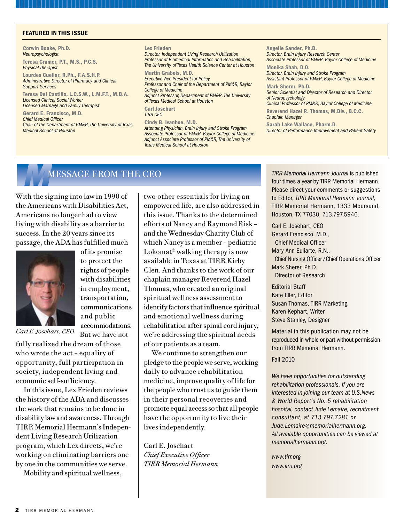#### FEATURED IN THIS ISSUE

Corwin Boake, Ph.D. *Neuropsychologist*  Teresa Cramer, P.T., M.S., P.C.S. *Physical Therapist* Lourdes Cuellar, R.Ph., F.A.S.H.P. *Administrative Director of Pharmacy and Clinical Support Services*  Teresa Del Castillo, L.C.S.W., L.M.F.T., M.B.A. *Licensed Clinical Social Worker Licensed Marriage and Family Therapist* Gerard E. Francisco, M.D. *Chief Medical Officer Chair of the Department of PM&R, The University of Texas Medical School at Houston*

Lex Frieden *Director, Independent Living Research Utilization Professor of Biomedical Informatics and Rehabilitation, The University of Texas Health Science Center at Houston* Martin Grabois, M.D. *Executive Vice President for Policy Professor and Chair of the Department of PM&R, Baylor College of Medicine Adjunct Professor, Department of PM&R, The University of Texas Medical School at Houston* Carl Josehart *TIRR CEO*

Cindy B. Ivanhoe, M.D. *Attending Physician, Brain Injury and Stroke Program Associate Professor of PM&R, Baylor College of Medicine Adjunct Associate Professor of PM&R, The University of Texas Medical School at Houston*

Angelle Sander, Ph.D. *Director, Brain Injury Research Center Associate Professor of PM&R, Baylor College of Medicine* Monika Shah, D.O.

*Director, Brain Injury and Stroke Program Assistant Professor of PM&R, Baylor College of Medicine*

Mark Sherer, Ph.D. *Senior Scientist and Director of Research and Director of Neuropsychology* 

*Clinical Professor of PM&R, Baylor College of Medicine* Reverend Hazel R. Thomas, M.Div., B.C.C. *Chaplain Manager*

Sarah Lake Wallace, Pharm.D. *Director of Performance Improvement and Patient Safety*

### **MESSAGE FROM THE CEO**

With the signing into law in 1990 of the Americans with Disabilities Act, Americans no longer had to view living with disability as a barrier to success. In the 20 years since its passage, the ADA has fulfilled much



of its promise to protect the rights of people with disabilities in employment, transportation, communications and public accommodations. But we have not

*Carl E. Josehart, CEO*

fully realized the dream of those who wrote the act – equality of opportunity, full participation in society, independent living and economic self-sufficiency.

In this issue, Lex Frieden reviews the history of the ADA and discusses the work that remains to be done in disability law and awareness. Through TIRR Memorial Hermann's Independent Living Research Utilization program, which Lex directs, we're working on eliminating barriers one by one in the communities we serve.

Mobility and spiritual wellness,

two other essentials for living an empowered life, are also addressed in this issue. Thanks to the determined efforts of Nancy and Raymond Risk – and the Wednesday Charity Club of which Nancy is a member – pediatric Lokomat® walking therapy is now available in Texas at TIRR Kirby Glen. And thanks to the work of our chaplain manager Reverend Hazel Thomas, who created an original spiritual wellness assessment to identify factors that influence spiritual and emotional wellness during rehabilitation after spinal cord injury, we're addressing the spiritual needs of our patients as a team.

We continue to strengthen our pledge to the people we serve, working daily to advance rehabilitation medicine, improve quality of life for the people who trust us to guide them in their personal recoveries and promote equal access so that all people have the opportunity to live their lives independently.

Carl E. Josehart *Chief Executive Officer TIRR Memorial Hermann* *TIRR Memorial Hermann Journal* is published four times a year by TIRR Memorial Hermann. Please direct your comments or suggestions to Editor, *TIRR Memorial Hermann Journal*, TIRR Memorial Hermann, 1333 Moursund, Houston, TX 77030, 713.797.5946.

Carl E. Josehart, CEO Gerard Francisco, M.D., Chief Medical Officer Mary Ann Euliarte, R.N., Chief Nursing Officer /Chief Operations Officer Mark Sherer, Ph.D. Director of Research

Editorial Staff Kate Eller, Editor Susan Thomas, TIRR Marketing Karen Kephart, Writer Steve Stanley, Designer

Material in this publication may not be reproduced in whole or part without permission from TIRR Memorial Hermann.

#### Fall 2010

*We have opportunities for outstanding rehabilitation professionals. If you are interested in joining our team at U.S.News & World Report's No. 5 rehabilitation hospital, contact Jude Lemaire, recruitment consultant, at 713.797.7281 or Jude.Lemaire@memorialhermann.org. All available opportunities can be viewed at memorialhermann.org.*

*www.tirr.org www.ilru.org*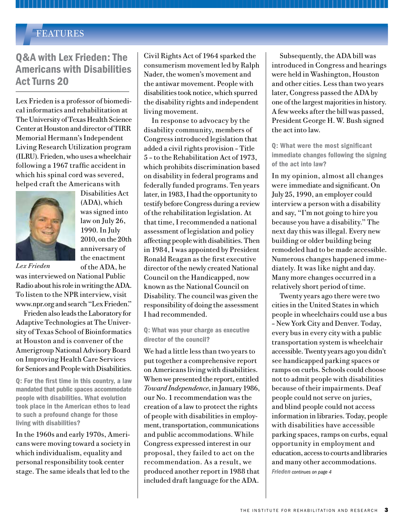### *F*FEATURES

### Q&A with Lex Frieden: The Americans with Disabilities Act Turns 20

Lex Frieden is a professor of biomedical informatics and rehabilitation at The University of Texas Health Science Center at Houston and director of TIRR Memorial Hermann's Independent Living Research Utilization program (ILRU). Frieden, who uses a wheelchair following a 1967 traffic accident in which his spinal cord was severed, helped craft the Americans with



(ADA), which was signed into law on July 26, 1990. In July 2010, on the 20th anniversary of the enactment of the ADA, he

Disabilities Act

*Lex Frieden*

was interviewed on National Public Radio about his role in writing the ADA. To listen to the NPR interview, visit www.npr.org and search "Lex Frieden."

Frieden also leads the Laboratory for Adaptive Technologies at The University of Texas School of Bioinformatics at Houston and is convener of the Amerigroup National Advisory Board on Improving Health Care Services for Seniors and People with Disabilities.

Q: For the first time in this country, a law mandated that public spaces accommodate people with disabilities. What evolution took place in the American ethos to lead to such a profound change for those living with disabilities?

In the 1960s and early 1970s, Americans were moving toward a society in which individualism, equality and personal responsibility took center stage. The same ideals that led to the

Civil Rights Act of 1964 sparked the consumerism movement led by Ralph Nader, the women's movement and the antiwar movement. People with disabilities took notice, which spurred the disability rights and independent living movement.

In response to advocacy by the disability community, members of Congress introduced legislation that added a civil rights provision – Title 5 – to the Rehabilitation Act of 1973, which prohibits discrimination based on disability in federal programs and federally funded programs. Ten years later, in 1983, I had the opportunity to testify before Congress during a review of the rehabilitation legislation. At that time, I recommended a national assessment of legislation and policy affecting people with disabilities. Then in 1984, I was appointed by President Ronald Reagan as the first executive director of the newly created National Council on the Handicapped, now known as the National Council on Disability. The council was given the responsibility of doing the assessment I had recommended.

Q: What was your charge as executive director of the council?

We had a little less than two years to put together a comprehensive report on Americans living with disabilities. When we presented the report, entitled *Toward Independence*, in January 1986, our No. 1 recommendation was the creation of a law to protect the rights of people with disabilities in employment, transportation, communications and public accommodations. While Congress expressed interest in our proposal, they failed to act on the recommendation. As a result, we produced another report in 1988 that included draft language for the ADA.

Subsequently, the ADA bill was introduced in Congress and hearings were held in Washington, Houston and other cities. Less than two years later, Congress passed the ADA by one of the largest majorities in history. A few weeks after the bill was passed, President George H. W. Bush signed the act into law.

Q: What were the most significant immediate changes following the signing of the act into law?

In my opinion, almost all changes were immediate and significant. On July 25, 1990, an employer could interview a person with a disability and say, "I'm not going to hire you because you have a disability." The next day this was illegal. Every new building or older building being remodeled had to be made accessible. Numerous changes happened immediately. It was like night and day. Many more changes occurred in a relatively short period of time.

Twenty years ago there were two cities in the United States in which people in wheelchairs could use a bus – New York City and Denver. Today, every bus in every city with a public transportation system is wheelchair accessible. Twenty years ago you didn't see handicapped parking spaces or ramps on curbs. Schools could choose not to admit people with disabilities because of their impairments. Deaf people could not serve on juries, and blind people could not access information in libraries. Today, people with disabilities have accessible parking spaces, ramps on curbs, equal opportunity in employment and education, access to courts and libraries and many other accommodations. *Frieden continues on page 4*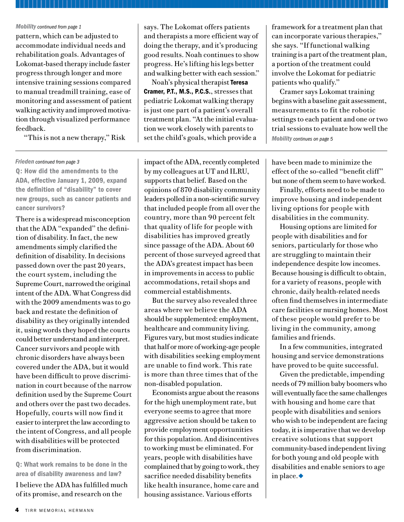#### *Mobility continued from page 1*

pattern, which can be adjusted to accommodate individual needs and rehabilitation goals. Advantages of Lokomat-based therapy include faster progress through longer and more intensive training sessions compared to manual treadmill training, ease of monitoring and assessment of patient walking activity and improved motivation through visualized performance feedback.

"This is not a new therapy," Risk

#### *Frieden continued from page 3*

Q: How did the amendments to the ADA, effective January 1, 2009, expand the definition of "disability" to cover new groups, such as cancer patients and cancer survivors?

There is a widespread misconception that the ADA "expanded" the definition of disability. In fact, the new amendments simply clarified the definition of disability. In decisions passed down over the past 20 years, the court system, including the Supreme Court, narrowed the original intent of the ADA. What Congress did with the 2009 amendments was to go back and restate the definition of disability as they originally intended it, using words they hoped the courts could better understand and interpret. Cancer survivors and people with chronic disorders have always been covered under the ADA, but it would have been difficult to prove discrimination in court because of the narrow definition used by the Supreme Court and others over the past two decades. Hopefully, courts will now find it easier to interpret the law according to the intent of Congress, and all people with disabilities will be protected from discrimination.

Q: What work remains to be done in the area of disability awareness and law?

I believe the ADA has fulfilled much of its promise, and research on the

says. The Lokomat offers patients and therapists a more efficient way of doing the therapy, and it's producing good results. Noah continues to show progress. He's lifting his legs better and walking better with each session."

Noah's physical therapist Teresa Cramer, P.T., M.S., P.C.S., stresses that pediatric Lokomat walking therapy is just one part of a patient's overall treatment plan. "At the initial evaluation we work closely with parents to set the child's goals, which provide a

impact of the ADA, recently completed by my colleagues at UT and ILRU, supports that belief. Based on the opinions of 870 disability community leaders polled in a non-scientific survey that included people from all over the country, more than 90 percent felt that quality of life for people with disabilities has improved greatly since passage of the ADA. About 60 percent of those surveyed agreed that the ADA's greatest impact has been in improvements in access to public accommodations, retail shops and commercial establishments.

But the survey also revealed three areas where we believe the ADA should be supplemented: employment, healthcare and community living. Figures vary, but most studies indicate that half or more of working-age people with disabilities seeking employment are unable to find work. This rate is more than three times that of the non-disabled population.

Economists argue about the reasons for the high unemployment rate, but everyone seems to agree that more aggressive action should be taken to provide employment opportunities for this population. And disincentives to working must be eliminated. For years, people with disabilities have complained that by going to work, they sacrifice needed disability benefits like health insurance, home care and housing assistance. Various efforts

framework for a treatment plan that can incorporate various therapies," she says. "If functional walking training is a part of the treatment plan, a portion of the treatment could involve the Lokomat for pediatric patients who qualify."

Cramer says Lokomat training begins with a baseline gait assessment, measurements to fit the robotic settings to each patient and one or two trial sessions to evaluate how well the *Mobility continues on page 5*

have been made to minimize the effect of the so-called "benefit cliff" but none of them seem to have worked.

Finally, efforts need to be made to improve housing and independent living options for people with disabilities in the community.

Housing options are limited for people with disabilities and for seniors, particularly for those who are struggling to maintain their independence despite low incomes. Because housing is difficult to obtain, for a variety of reasons, people with chronic, daily health-related needs often find themselves in intermediate care facilities or nursing homes. Most of these people would prefer to be living in the community, among families and friends.

In a few communities, integrated housing and service demonstrations have proved to be quite successful.

Given the predictable, impending needs of 79 million baby boomers who will eventually face the same challenges with housing and home care that people with disabilities and seniors who wish to be independent are facing today, it is imperative that we develop creative solutions that support community-based independent living for both young and old people with disabilities and enable seniors to age in place. $\bullet$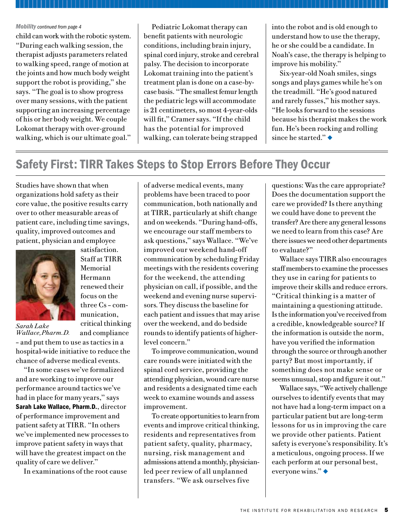#### *Mobility continued from page 4*

child can work with the robotic system. "During each walking session, the therapist adjusts parameters related to walking speed, range of motion at the joints and how much body weight support the robot is providing," she says. "The goal is to show progress over many sessions, with the patient supporting an increasing percentage of his or her body weight. We couple Lokomat therapy with over-ground walking, which is our ultimate goal."

Pediatric Lokomat therapy can benefit patients with neurologic conditions, including brain injury, spinal cord injury, stroke and cerebral palsy. The decision to incorporate Lokomat training into the patient's treatment plan is done on a case-bycase basis. "The smallest femur length the pediatric legs will accommodate is 21 centimeters, so most 4-year-olds will fit," Cramer says. "If the child has the potential for improved walking, can tolerate being strapped

into the robot and is old enough to understand how to use the therapy, he or she could be a candidate. In Noah's case, the therapy is helping to improve his mobility."

Six-year-old Noah smiles, sings songs and plays games while he's on the treadmill. "He's good natured and rarely fusses," his mother says. "He looks forward to the sessions because his therapist makes the work fun. He's been rocking and rolling since he started." $\bullet$ 

# Safety First: TIRR Takes Steps to Stop Errors Before They Occur

Studies have shown that when organizations hold safety as their core value, the positive results carry over to other measurable areas of patient care, including time savings, quality, improved outcomes and patient, physician and employee



*Sarah Lake Wallace,Pharm.D.*

renewed their focus on the three Cs – communication, critical thinking and compliance

satisfaction. Staff at TIRR Memorial Hermann

– and put them to use as tactics in a hospital-wide initiative to reduce the chance of adverse medical events.

"In some cases we've formalized and are working to improve our performance around tactics we've had in place for many years," says Sarah Lake Wallace, Pharm.D., director of performance improvement and patient safety at TIRR. "In others we've implemented new processes to improve patient safety in ways that will have the greatest impact on the quality of care we deliver."

In examinations of the root cause

of adverse medical events, many problems have been traced to poor communication, both nationally and at TIRR, particularly at shift change and on weekends. "During hand-offs, we encourage our staff members to ask questions," says Wallace. "We've improved our weekend hand-off communication by scheduling Friday meetings with the residents covering for the weekend, the attending physician on call, if possible, and the weekend and evening nurse supervisors. They discuss the baseline for each patient and issues that may arise over the weekend, and do bedside rounds to identify patients of higherlevel concern."

To improve communication, wound care rounds were initiated with the spinal cord service, providing the attending physician, wound care nurse and residents a designated time each week to examine wounds and assess improvement.

To create opportunities to learn from events and improve critical thinking, residents and representatives from patient safety, quality, pharmacy, nursing, risk management and admissions attend a monthly, physicianled peer review of all unplanned transfers. "We ask ourselves five

questions: Was the care appropriate? Does the documentation support the care we provided? Is there anything we could have done to prevent the transfer? Are there any general lessons we need to learn from this case? Are there issues we need other departments to evaluate?"

Wallace says TIRR also encourages staff members to examine the processes they use in caring for patients to improve their skills and reduce errors. "Critical thinking is a matter of maintaining a questioning attitude. Is the information you've received from a credible, knowledgeable source? If the information is outside the norm, have you verified the information through the source or through another party? But most importantly, if something does not make sense or seems unusual, stop and figure it out."

Wallace says, "We actively challenge ourselves to identify events that may not have had a long-term impact on a particular patient but are long-term lessons for us in improving the care we provide other patients. Patient safety is everyone's responsibility. It's a meticulous, ongoing process. If we each perform at our personal best, everyone wins." $\blacklozenge$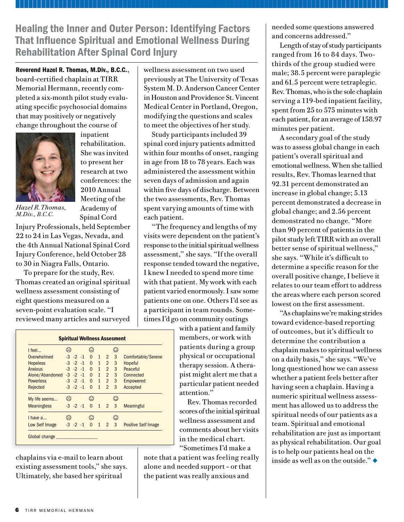Healing the Inner and Outer Person: Identifying Factors That Influence Spiritual and Emotional Wellness During Rehabilitation After Spinal Cord Injury

Reverend Hazel R. Thomas, M.Div., B.C.C., board-certified chaplain at TIRR Memorial Hermann, recently completed a six-month pilot study evaluating specific psychosocial domains that may positively or negatively change throughout the course of



*Hazel R. Thomas, M.Div., B.C.C.*

rehabilitation. She was invited to present her research at two conferences: the 2010 Annual Meeting of the Academy of Spinal Cord

inpatient

Injury Professionals, held September 22 to 24 in Las Vegas, Nevada, and the 4th Annual National Spinal Cord Injury Conference, held October 28

to 30 in Niagra Falls, Ontario. To prepare for the study, Rev. Thomas created an original spiritual wellness assessment consisting of eight questions measured on a seven-point evaluation scale. "I reviewed many articles and surveyed

wellness assessment on two used previously at The University of Texas System M. D. Anderson Cancer Center in Houston and Providence St. Vincent Medical Center in Portland, Oregon, modifying the questions and scales to meet the objectives of her study.

Study participants included 39 spinal cord injury patients admitted within four months of onset, ranging in age from 18 to 78 years. Each was administered the assessment within seven days of admission and again within five days of discharge. Between the two assessments, Rev. Thomas spent varying amounts of time with each patient.

"The frequency and lengths of my visits were dependent on the patient's response to the initial spiritual wellness assessment," she says. "If the overall response tended toward the negative, I knew I needed to spend more time with that patient. My work with each patient varied enormously. I saw some patients one on one. Others I'd see as a participant in team rounds. Sometimes I'd go on community outings

with a patient and family members, or work with patients during a group physical or occupational therapy session. A therapist might alert me that a particular patient needed attention."

Rev. Thomas recorded scores of the initial spiritual wellness assessment and comments about her visits in the medical chart. "Sometimes I'd make a

note that a patient was feeling really alone and needed support – or that the patient was really anxious and

needed some questions answered and concerns addressed."

Length of stay of study participants ranged from 16 to 84 days. Twothirds of the group studied were male; 38.5 percent were paraplegic and 61.5 percent were tetraplegic. Rev. Thomas, who is the sole chaplain serving a 119-bed inpatient facility, spent from 25 to 575 minutes with each patient, for an average of 158.97 minutes per patient.

A secondary goal of the study was to assess global change in each patient's overall spiritual and emotional wellness. When she tallied results, Rev. Thomas learned that 92.31 percent demonstrated an increase in global change; 5.13 percent demonstrated a decrease in global change; and 2.56 percent demonstrated no change. "More than 90 percent of patients in the pilot study left TIRR with an overall better sense of spiritual wellness," she says. "While it's difficult to determine a specific reason for the overall positive change, I believe it relates to our team effort to address the areas where each person scored lowest on the first assessment.

"As chaplains we're making strides toward evidence-based reporting of outcomes, but it's difficult to determine the contribution a chaplain makes to spiritual wellness on a daily basis," she says. "We've long questioned how we can assess whether a patient feels better after having seen a chaplain. Having a numeric spiritual wellness assessment has allowed us to address the spiritual needs of our patients as a team. Spiritual and emotional rehabilitation are just as important as physical rehabilitation. Our goal is to help our patients heal on the inside as well as on the outside." $\blacklozenge$ 

| $ $ feel           | ⇔                          |                  | $\rm \odot$          |              |                     | $\odot$        |                     |
|--------------------|----------------------------|------------------|----------------------|--------------|---------------------|----------------|---------------------|
| Overwhelmed        |                            | $-3$ $-2$ $-1$   |                      |              | $0 \quad 1 \quad 2$ | 3              | Comfortable/Serene  |
| <b>Hopeless</b>    |                            |                  | $-3$ $-2$ $-1$ 0 1 2 |              |                     | 3              | Hopeful             |
| Anxious            |                            |                  | $-3$ $-2$ $-1$ 0 1 2 |              |                     | $\mathbf{3}$   | Peaceful            |
| Alone/Abandoned    |                            |                  | $-3$ $-2$ $-1$ 0 1 2 |              |                     | 3 <sup>1</sup> | Connected           |
| <b>Powerless</b>   |                            |                  | $-3$ $-2$ $-1$ 0 1 2 |              |                     | $\mathbf{3}$   | Empowered           |
| Rejected           |                            |                  | $-3$ $-2$ $-1$ 0 1   |              | $\overline{2}$      | 3              | Accepted            |
| My life seems      | ౧                          |                  | ☺                    |              |                     | ⊙              |                     |
| <b>Meaningless</b> |                            | $-3$ $-2$ $-1$ 0 |                      | $\mathbf{1}$ | $\overline{2}$      | 3              | <b>Meaningful</b>   |
| $I$ have $a$       | $\left(\ddot{\sim}\right)$ |                  | $\bf \odot$          |              |                     | ⊙              |                     |
| Low Self Image     |                            | $-3$ $-2$ $-1$   | $\Omega$             | $\mathbf{1}$ | 2                   | 3              | Positive Self Image |

chaplains via e-mail to learn about existing assessment tools," she says. Ultimately, she based her spiritual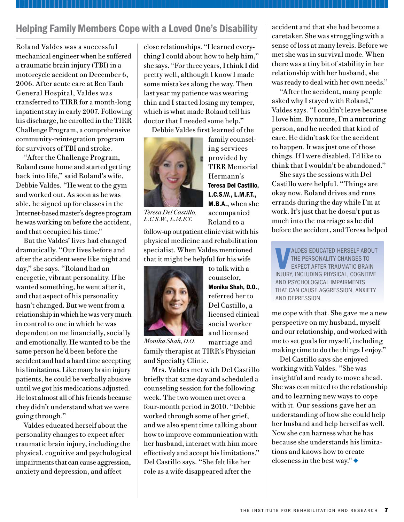## Helping Family Members Cope with a Loved One's Disability

Roland Valdes was a successful mechanical engineer when he suffered a traumatic brain injury (TBI) in a motorcycle accident on December 6, 2006. After acute care at Ben Taub General Hospital, Valdes was transferred to TIRR for a month-long inpatient stay in early 2007. Following his discharge, he enrolled in the TIRR Challenge Program, a comprehensive community-reintegration program for survivors of TBI and stroke.

"After the Challenge Program, Roland came home and started getting back into life," said Roland's wife, Debbie Valdes. "He went to the gym and worked out. As soon as he was able, he signed up for classes in the Internet-based master's degree program he was working on before the accident, and that occupied his time."

But the Valdes' lives had changed dramatically. "Our lives before and after the accident were like night and day," she says. "Roland had an energetic, vibrant personality. If he wanted something, he went after it, and that aspect of his personality hasn't changed. But we went from a relationship in which he was very much in control to one in which he was dependent on me financially, socially and emotionally. He wanted to be the same person he'd been before the accident and had a hard time accepting his limitations. Like many brain injury patients, he could be verbally abusive until we got his medications adjusted. He lost almost all of his friends because they didn't understand what we were going through."

Valdes educated herself about the personality changes to expect after traumatic brain injury, including the physical, cognitive and psychological impairments that can cause aggression, anxiety and depression, and affect

close relationships. "I learned everything I could about how to help him," she says. "For three years, I think I did pretty well, although I know I made some mistakes along the way. Then last year my patience was wearing thin and I started losing my temper, which is what made Roland tell his doctor that I needed some help."

Debbie Valdes first learned of the



family counseling services provided by TIRR Memorial Hermann's Teresa Del Castillo, L.C.S.W., L.M.F.T., M.B.A., when she accompanied Roland to a

*Teresa Del Castillo, L.C.S.W., L.M.F.T.*

follow-up outpatient clinic visit with his physical medicine and rehabilitation specialist. When Valdes mentioned that it might be helpful for his wife



to talk with a counselor, Monika Shah, D.O., referred her to Del Castillo, a licensed clinical social worker and licensed marriage and

*Monika Shah, D.O.* 

family therapist at TIRR's Physician and Specialty Clinic.

Mrs. Valdes met with Del Castillo briefly that same day and scheduled a counseling session for the following week. The two women met over a four-month period in 2010. "Debbie worked through some of her grief, and we also spent time talking about how to improve communication with her husband, interact with him more effectively and accept his limitations," Del Castillo says. "She felt like her role as a wife disappeared after the

accident and that she had become a caretaker. She was struggling with a sense of loss at many levels. Before we met she was in survival mode. When there was a tiny bit of stability in her relationship with her husband, she was ready to deal with her own needs."

"After the accident, many people asked why I stayed with Roland," Valdes says. "I couldn't leave because I love him. By nature, I'm a nurturing person, and he needed that kind of care. He didn't ask for the accident to happen. It was just one of those things. If I were disabled, I'd like to think that I wouldn't be abandoned."

She says the sessions with Del Castillo were helpful. "Things are okay now. Roland drives and runs errands during the day while I'm at work. It's just that he doesn't put as much into the marriage as he did before the accident, and Teresa helped

**VERGE CONCOCATED HERSELF ABOUT THE PERSONALITY CHANGES TO EXPECT AFTER TRAUMATIC BRAIN**<br>INJURY, INCLUDING PHYSICAL, COGNITIVE aldes educated herself about the personality changes to expect after traumatic brain and psychological impairments that can cause aggression, anxiety and depression.

me cope with that. She gave me a new perspective on my husband, myself and our relationship, and worked with me to set goals for myself, including making time to do the things I enjoy."

Del Castillo says she enjoyed working with Valdes. "She was insightful and ready to move ahead. She was committed to the relationship and to learning new ways to cope with it. Our sessions gave her an understanding of how she could help her husband and help herself as well. Now she can harness what he has because she understands his limitations and knows how to create closeness in the best way." $\blacklozenge$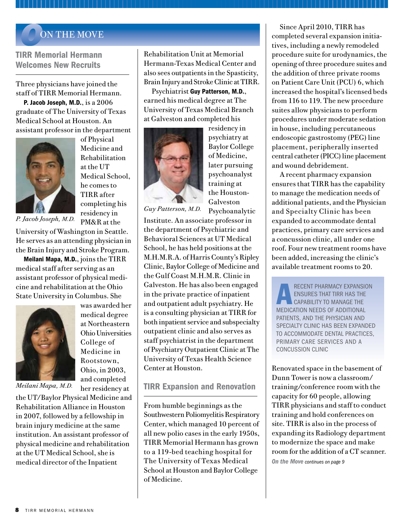### *O*ON THE MOVE

TIRR Memorial Hermann Welcomes New Recruits

Three physicians have joined the staff of TIRR Memorial Hermann.

P. Jacob Joseph, M.D., is a 2006 graduate of The University of Texas Medical School at Houston. An assistant professor in the department



of Physical Medicine and Rehabilitation at the UT Medical School, he comes to TIRR after completing his residency in

*P. Jacob Joseph, M.D.*

PM&R at the

was awarded her medical degree at Northeastern Ohio Universities College of Medicine in Rootstown, Ohio, in 2003, and completed her residency at

University of Washington in Seattle. He serves as an attending physician in the Brain Injury and Stroke Program.

Meilani Mapa, M.D., joins the TIRR medical staff after serving as an assistant professor of physical medicine and rehabilitation at the Ohio State University in Columbus. She



*Meilani Mapa, M.D.*

the UT/Baylor Physical Medicine and Rehabilitation Alliance in Houston in 2007, followed by a fellowship in brain injury medicine at the same institution. An assistant professor of physical medicine and rehabilitation at the UT Medical School, she is medical director of the Inpatient

Rehabilitation Unit at Memorial Hermann-Texas Medical Center and also sees outpatients in the Spasticity, Brain Injury and Stroke Clinic at TIRR.

Psychiatrist Guy Patterson, M.D., earned his medical degree at The University of Texas Medical Branch at Galveston and completed his



residency in psychiatry at Baylor College of Medicine, later pursuing psychoanalyst training at the Houston-Galveston Psychoanalytic

*Guy Patterson, M.D.*

Institute. An associate professor in the department of Psychiatric and Behavioral Sciences at UT Medical School, he has held positions at the M.H.M.R.A. of Harris County's Ripley Clinic, Baylor College of Medicine and the Gulf Coast M.H.M.R. Clinic in Galveston. He has also been engaged in the private practice of inpatient and outpatient adult psychiatry. He is a consulting physician at TIRR for both inpatient service and subspecialty outpatient clinic and also serves as staff psychiatrist in the department of Psychiatry Outpatient Clinic at The University of Texas Health Science Center at Houston.

### TIRR Expansion and Renovation

From humble beginnings as the Southwestern Poliomyelitis Respiratory Center, which managed 10 percent of all new polio cases in the early 1950s, TIRR Memorial Hermann has grown to a 119-bed teaching hospital for The University of Texas Medical School at Houston and Baylor College of Medicine.

Since April 2010, TIRR has completed several expansion initiatives, including a newly remodeled procedure suite for urodynamics, the opening of three procedure suites and the addition of three private rooms on Patient Care Unit (PCU) 6, which increased the hospital's licensed beds from 116 to 119. The new procedure suites allow physicians to perform procedures under moderate sedation in house, including percutaneous endoscopic gastrostomy (PEG) line placement, peripherally inserted central catheter (PICC) line placement and wound debridement.

A recent pharmacy expansion ensures that TIRR has the capability to manage the medication needs of additional patients, and the Physician and Specialty Clinic has been expanded to accommodate dental practices, primary care services and a concussion clinic, all under one roof. Four new treatment rooms have been added, increasing the clinic's available treatment rooms to 20.

RECENT PHARMACY EXPANSIVES THAT TIRE ENSURES THAT TIRR HAS T capability to manage the medication needs of additional patients, and the Physician and Specialty Clinic has been expanded to accommodate dental practices, primary care services and a concussion clinic

Renovated space in the basement of Dunn Tower is now a classroom/ training/conference room with the capacity for 60 people, allowing TIRR physicians and staff to conduct training and hold conferences on site. TIRR is also in the process of expanding its Radiology department to modernize the space and make room for the addition of a CT scanner.

*On the Move continues on page 9*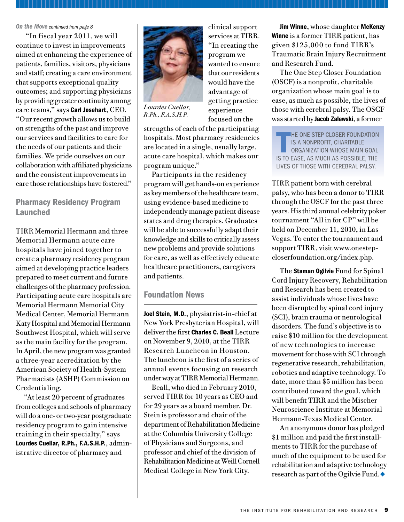#### *On the Move continued from page 8*

 "In fiscal year 2011, we will continue to invest in improvements aimed at enhancing the experience of patients, families, visitors, physicians and staff; creating a care environment that supports exceptional quality outcomes; and supporting physicians by providing greater continuity among care teams," says Carl Josehart, CEO. "Our recent growth allows us to build on strengths of the past and improve our services and facilities to care for the needs of our patients and their families. We pride ourselves on our collaboration with affiliated physicians and the consistent improvements in care those relationships have fostered."

### Pharmacy Residency Program Launched

TIRR Memorial Hermann and three Memorial Hermann acute care hospitals have joined together to create a pharmacy residency program aimed at developing practice leaders prepared to meet current and future challenges of the pharmacy profession. Participating acute care hospitals are Memorial Hermann Memorial City Medical Center, Memorial Hermann Katy Hospital and Memorial Hermann Southwest Hospital, which will serve as the main facility for the program. In April, the new program was granted a three-year accreditation by the American Society of Health-System Pharmacists (ASHP) Commission on Credentialing.

"At least 20 percent of graduates from colleges and schools of pharmacy will do a one- or two-year postgraduate residency program to gain intensive training in their specialty," says Lourdes Cuellar, R.Ph., F.A.S.H.P., administrative director of pharmacy and



*Lourdes Cuellar, R.Ph., F.A.S.H.P.*

"In creating the program we wanted to ensure that our residents would have the advantage of getting practice experience focused on the

clinical support services at TIRR.

strengths of each of the participating hospitals. Most pharmacy residencies are located in a single, usually large, acute care hospital, which makes our program unique."

Participants in the residency program will get hands-on experience as key members of the healthcare team, using evidence-based medicine to independently manage patient disease states and drug therapies. Graduates will be able to successfully adapt their knowledge and skills to critically assess new problems and provide solutions for care, as well as effectively educate healthcare practitioners, caregivers and patients.

### Foundation News

Joel Stein, M.D., physiatrist-in-chief at New York Presbyterian Hospital, will deliver the first Charles C. Beall Lecture on November 9, 2010, at the TIRR Research Luncheon in Houston. The luncheon is the first of a series of annual events focusing on research under way at TIRR Memorial Hermann.

Beall, who died in February 2010, served TIRR for 10 years as CEO and for 29 years as a board member. Dr. Stein is professor and chair of the department of Rehabilitation Medicine at the Columbia University College of Physicians and Surgeons, and professor and chief of the division of Rehabilitation Medicine at Weill Cornell Medical College in New York City.

Jim Winne, whose daughter McKenzy Winne is a former TIRR patient, has given \$125,000 to fund TIRR's Traumatic Brain Injury Recruitment and Research Fund.

The One Step Closer Foundation (OSCF) is a nonprofit, charitable organization whose main goal is to ease, as much as possible, the lives of those with cerebral palsy. The OSCF was started by Jacob Zalewski, a former

 $\prod_{\substack{r\text{ odd}}}$ **HE ONE STEP CLOSER FOUNDATION** is a nonprofit, charitable organization whose main goal is to ease, as much as possible, the lives of those with cerebral palsy.

TIRR patient born with cerebral palsy, who has been a donor to TIRR through the OSCF for the past three years. His third annual celebrity poker tournament "All in for CP" will be held on December 11, 2010, in Las Vegas. To enter the tournament and support TIRR, visit www.onestepcloserfoundation.org/index.php.

The Staman Ogilvie Fund for Spinal Cord Injury Recovery, Rehabilitation and Research has been created to assist individuals whose lives have been disrupted by spinal cord injury (SCI), brain trauma or neurological disorders. The fund's objective is to raise \$10 million for the development of new technologies to increase movement for those with SCI through regenerative research, rehabilitation, robotics and adaptive technology. To date, more than \$5 million has been contributed toward the goal, which will benefit TIRR and the Mischer Neuroscience Institute at Memorial Hermann-Texas Medical Center.

An anonymous donor has pledged \$1 million and paid the first installments to TIRR for the purchase of much of the equipment to be used for rehabilitation and adaptive technology research as part of the Ogilvie Fund.  $\blacklozenge$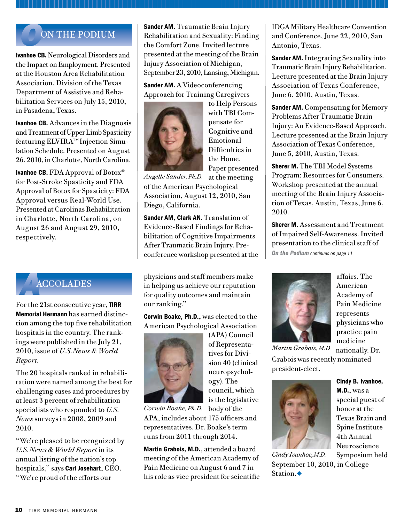## *O*ON THE PODIUM

Ivanhoe CB. Neurological Disorders and the Impact on Employment. Presented at the Houston Area Rehabilitation Association, Division of the Texas Department of Assistive and Rehabilitation Services on July 15, 2010, in Pasadena, Texas.

Ivanhoe CB. Advances in the Diagnosis and Treatment of Upper Limb Spasticity featuring ELVIRA™ Injection Simulation Schedule. Presented on August 26, 2010, in Charlotte, North Carolina.

Ivanhoe CB. FDA Approval of Botox® for Post-Stroke Spasticity and FDA Approval of Botox for Spasticity: FDA Approval versus Real-World Use. Presented at Carolinas Rehabilitation in Charlotte, North Carolina, on August 26 and August 29, 2010, respectively.

**Sander AM.** Traumatic Brain Injury Rehabilitation and Sexuality: Finding the Comfort Zone. Invited lecture presented at the meeting of the Brain Injury Association of Michigan, September 23, 2010, Lansing, Michigan.

Sander AM. A Videoconferencing Approach for Training Caregivers



to Help Persons with TBI Compensate for Cognitive and Emotional Difficulties in the Home. Paper presented

at the meeting of the American Psychological Association, August 12, 2010, San Diego, California. *Angelle Sander, Ph.D.*

Sander AM, Clark AN. Translation of Evidence-Based Findings for Rehabilitation of Cognitive Impairments After Traumatic Brain Injury. Preconference workshop presented at the IDGA Military Healthcare Convention and Conference, June 22, 2010, San Antonio, Texas.

**Sander AM.** Integrating Sexuality into Traumatic Brain Injury Rehabilitation. Lecture presented at the Brain Injury Association of Texas Conference, June 6, 2010, Austin, Texas.

**Sander AM.** Compensating for Memory Problems After Traumatic Brain Injury: An Evidence-Based Approach. Lecture presented at the Brain Injury Association of Texas Conference, June 5, 2010, Austin, Texas.

Sherer M. The TBI Model Systems Program: Resources for Consumers. Workshop presented at the annual meeting of the Brain Injury Association of Texas, Austin, Texas, June 6, 2010.

Sherer M. Assessment and Treatment of Impaired Self-Awareness. Invited presentation to the clinical staff of *On the Podium continues on page 11*

## *A*ACCOLADES

For the 21st consecutive year, TIRR Memorial Hermann has earned distinction among the top five rehabilitation hospitals in the country. The rankings were published in the July 21, 2010, issue of *U.S.News & World Report*.

The 20 hospitals ranked in rehabilitation were named among the best for challenging cases and procedures by at least 3 percent of rehabilitation specialists who responded to *U.S. News* surveys in 2008, 2009 and 2010.

"We're pleased to be recognized by *U.S.News & World Report* in its annual listing of the nation's top hospitals," says Carl Josehart, CEO. "We're proud of the efforts our

physicians and staff members make in helping us achieve our reputation for quality outcomes and maintain our ranking."

Corwin Boake, Ph.D., was elected to the American Psychological Association



(APA) Council of Representatives for Division 40 (clinical neuropsychology). The council, which is the legislative

Corwin Boake, Ph.D. body of the APA, includes about 175 officers and representatives. Dr. Boake's term runs from 2011 through 2014.

Martin Grabois, M.D., attended a board meeting of the American Academy of Pain Medicine on August 6 and 7 in his role as vice president for scientific



affairs. The American Academy of Pain Medicine represents physicians who practice pain medicine

nationally. Dr. Grabois was recently nominated president-elect.



Cindy B. Ivanhoe, M.D., was a special guest of honor at the Texas Brain and Spine Institute 4th Annual Neuroscience Symposium held

September 10, 2010, in College Station. $\bullet$ *Cindy Ivanhoe, M.D.*